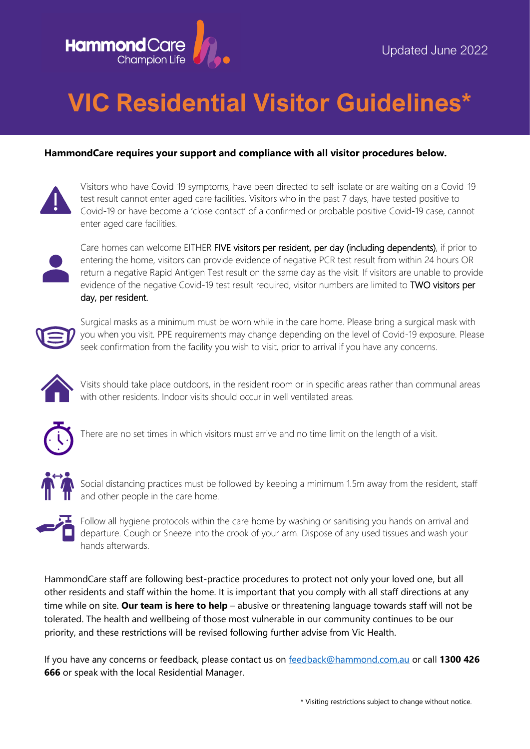

## **VIC Residential Visitor Guidelines\***

## **HammondCare requires your support and compliance with all visitor procedures below.**



Visitors who have Covid-19 symptoms, have been directed to self-isolate or are waiting on a Covid-19 test result cannot enter aged care facilities. Visitors who in the past 7 days, have tested positive to Covid-19 or have become a 'close contact' of a confirmed or probable positive Covid-19 case, cannot enter aged care facilities.



Care homes can welcome EITHER FIVE visitors per resident, per day (including dependents), if prior to entering the home, visitors can provide evidence of negative PCR test result from within 24 hours OR return a negative Rapid Antigen Test result on the same day as the visit. If visitors are unable to provide evidence of the negative Covid-19 test result required, visitor numbers are limited to TWO visitors per day, per resident.



Surgical masks as a minimum must be worn while in the care home. Please bring a surgical mask with you when you visit. PPE requirements may change depending on the level of Covid-19 exposure. Please seek confirmation from the facility you wish to visit, prior to arrival if you have any concerns.



Visits should take place outdoors, in the resident room or in specific areas rather than communal areas with other residents. Indoor visits should occur in well ventilated areas.



There are no set times in which visitors must arrive and no time limit on the length of a visit.



Social distancing practices must be followed by keeping a minimum 1.5m away from the resident, staff and other people in the care home.



Follow all hygiene protocols within the care home by washing or sanitising you hands on arrival and departure. Cough or Sneeze into the crook of your arm. Dispose of any used tissues and wash your hands afterwards.

HammondCare staff are following best-practice procedures to protect not only your loved one, but all other residents and staff within the home. It is important that you comply with all staff directions at any time while on site. **Our team is here to help** – abusive or threatening language towards staff will not be tolerated. The health and wellbeing of those most vulnerable in our community continues to be our priority, and these restrictions will be revised following further advise from Vic Health.

If you have any concerns or feedback, please contact us on [feedback@hammond.com.au](mailto:feedback@hammond.com.au) or call **1300 426 666** or speak with the local Residential Manager.